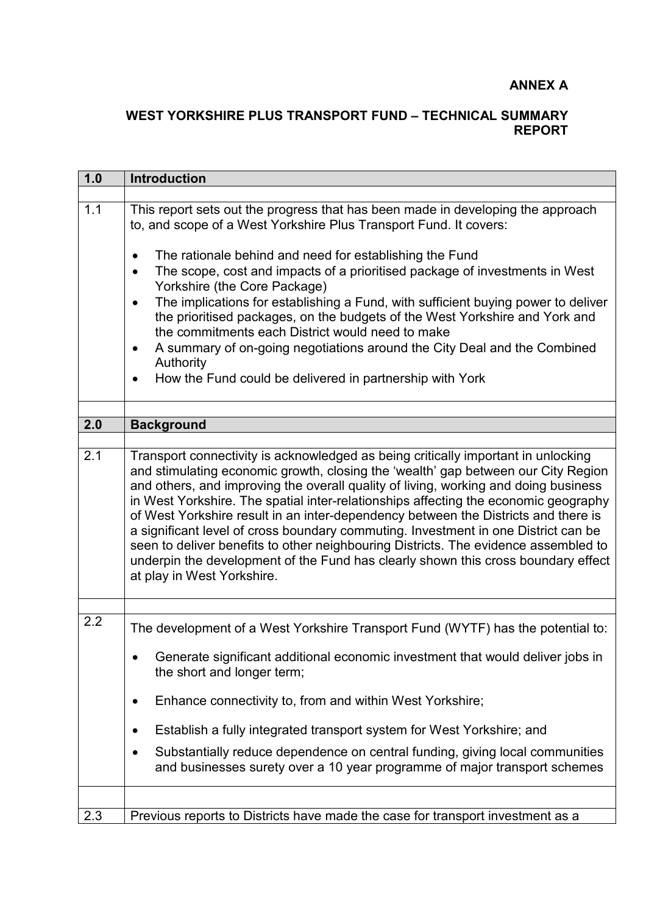## **ANNEX A**

## **WEST YORKSHIRE PLUS TRANSPORT FUND – TECHNICAL SUMMARY REPORT**

| 1.0 | <b>Introduction</b>                                                                                                                                                                                                                                                                                                                                                                                                                                                                                                                                                                                                                                                                                                                        |  |  |  |  |  |  |  |
|-----|--------------------------------------------------------------------------------------------------------------------------------------------------------------------------------------------------------------------------------------------------------------------------------------------------------------------------------------------------------------------------------------------------------------------------------------------------------------------------------------------------------------------------------------------------------------------------------------------------------------------------------------------------------------------------------------------------------------------------------------------|--|--|--|--|--|--|--|
|     |                                                                                                                                                                                                                                                                                                                                                                                                                                                                                                                                                                                                                                                                                                                                            |  |  |  |  |  |  |  |
| 1.1 | This report sets out the progress that has been made in developing the approach<br>to, and scope of a West Yorkshire Plus Transport Fund. It covers:<br>The rationale behind and need for establishing the Fund<br>$\bullet$                                                                                                                                                                                                                                                                                                                                                                                                                                                                                                               |  |  |  |  |  |  |  |
|     | The scope, cost and impacts of a prioritised package of investments in West<br>$\bullet$<br>Yorkshire (the Core Package)                                                                                                                                                                                                                                                                                                                                                                                                                                                                                                                                                                                                                   |  |  |  |  |  |  |  |
|     | The implications for establishing a Fund, with sufficient buying power to deliver<br>$\bullet$<br>the prioritised packages, on the budgets of the West Yorkshire and York and<br>the commitments each District would need to make                                                                                                                                                                                                                                                                                                                                                                                                                                                                                                          |  |  |  |  |  |  |  |
|     | A summary of on-going negotiations around the City Deal and the Combined<br>$\bullet$<br>Authority                                                                                                                                                                                                                                                                                                                                                                                                                                                                                                                                                                                                                                         |  |  |  |  |  |  |  |
|     | How the Fund could be delivered in partnership with York<br>$\bullet$                                                                                                                                                                                                                                                                                                                                                                                                                                                                                                                                                                                                                                                                      |  |  |  |  |  |  |  |
|     |                                                                                                                                                                                                                                                                                                                                                                                                                                                                                                                                                                                                                                                                                                                                            |  |  |  |  |  |  |  |
| 2.0 | <b>Background</b>                                                                                                                                                                                                                                                                                                                                                                                                                                                                                                                                                                                                                                                                                                                          |  |  |  |  |  |  |  |
|     |                                                                                                                                                                                                                                                                                                                                                                                                                                                                                                                                                                                                                                                                                                                                            |  |  |  |  |  |  |  |
| 2.1 | Transport connectivity is acknowledged as being critically important in unlocking<br>and stimulating economic growth, closing the 'wealth' gap between our City Region<br>and others, and improving the overall quality of living, working and doing business<br>in West Yorkshire. The spatial inter-relationships affecting the economic geography<br>of West Yorkshire result in an inter-dependency between the Districts and there is<br>a significant level of cross boundary commuting. Investment in one District can be<br>seen to deliver benefits to other neighbouring Districts. The evidence assembled to<br>underpin the development of the Fund has clearly shown this cross boundary effect<br>at play in West Yorkshire. |  |  |  |  |  |  |  |
| 2.2 | The development of a West Yorkshire Transport Fund (WYTF) has the potential to:                                                                                                                                                                                                                                                                                                                                                                                                                                                                                                                                                                                                                                                            |  |  |  |  |  |  |  |
|     | Generate significant additional economic investment that would deliver jobs in<br>the short and longer term;                                                                                                                                                                                                                                                                                                                                                                                                                                                                                                                                                                                                                               |  |  |  |  |  |  |  |
|     | Enhance connectivity to, from and within West Yorkshire;                                                                                                                                                                                                                                                                                                                                                                                                                                                                                                                                                                                                                                                                                   |  |  |  |  |  |  |  |
|     | Establish a fully integrated transport system for West Yorkshire; and<br>$\bullet$                                                                                                                                                                                                                                                                                                                                                                                                                                                                                                                                                                                                                                                         |  |  |  |  |  |  |  |
|     | Substantially reduce dependence on central funding, giving local communities<br>$\bullet$<br>and businesses surety over a 10 year programme of major transport schemes                                                                                                                                                                                                                                                                                                                                                                                                                                                                                                                                                                     |  |  |  |  |  |  |  |
|     |                                                                                                                                                                                                                                                                                                                                                                                                                                                                                                                                                                                                                                                                                                                                            |  |  |  |  |  |  |  |
| 2.3 | Previous reports to Districts have made the case for transport investment as a                                                                                                                                                                                                                                                                                                                                                                                                                                                                                                                                                                                                                                                             |  |  |  |  |  |  |  |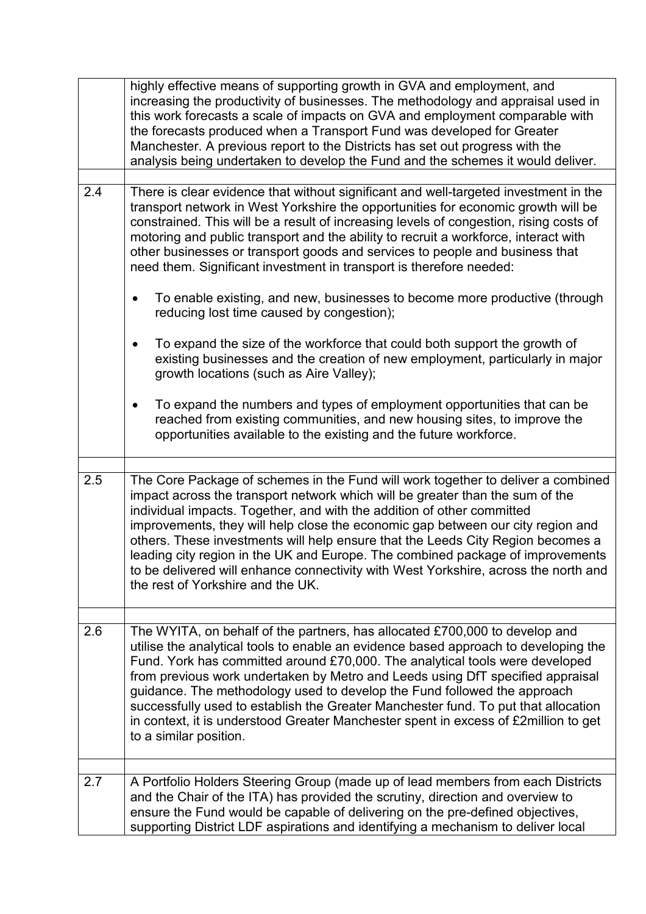|     | highly effective means of supporting growth in GVA and employment, and<br>increasing the productivity of businesses. The methodology and appraisal used in<br>this work forecasts a scale of impacts on GVA and employment comparable with<br>the forecasts produced when a Transport Fund was developed for Greater<br>Manchester. A previous report to the Districts has set out progress with the<br>analysis being undertaken to develop the Fund and the schemes it would deliver.                                                                                                                                                      |
|-----|----------------------------------------------------------------------------------------------------------------------------------------------------------------------------------------------------------------------------------------------------------------------------------------------------------------------------------------------------------------------------------------------------------------------------------------------------------------------------------------------------------------------------------------------------------------------------------------------------------------------------------------------|
| 2.4 | There is clear evidence that without significant and well-targeted investment in the<br>transport network in West Yorkshire the opportunities for economic growth will be<br>constrained. This will be a result of increasing levels of congestion, rising costs of<br>motoring and public transport and the ability to recruit a workforce, interact with<br>other businesses or transport goods and services to people and business that<br>need them. Significant investment in transport is therefore needed:<br>To enable existing, and new, businesses to become more productive (through<br>reducing lost time caused by congestion); |
|     | To expand the size of the workforce that could both support the growth of<br>$\bullet$<br>existing businesses and the creation of new employment, particularly in major<br>growth locations (such as Aire Valley);<br>To expand the numbers and types of employment opportunities that can be<br>$\bullet$                                                                                                                                                                                                                                                                                                                                   |
|     | reached from existing communities, and new housing sites, to improve the<br>opportunities available to the existing and the future workforce.                                                                                                                                                                                                                                                                                                                                                                                                                                                                                                |
| 2.5 | The Core Package of schemes in the Fund will work together to deliver a combined<br>impact across the transport network which will be greater than the sum of the<br>individual impacts. Together, and with the addition of other committed<br>improvements, they will help close the economic gap between our city region and<br>others. These investments will help ensure that the Leeds City Region becomes a<br>leading city region in the UK and Europe. The combined package of improvements<br>to be delivered will enhance connectivity with West Yorkshire, across the north and<br>the rest of Yorkshire and the UK.              |
| 2.6 | The WYITA, on behalf of the partners, has allocated £700,000 to develop and<br>utilise the analytical tools to enable an evidence based approach to developing the<br>Fund. York has committed around £70,000. The analytical tools were developed<br>from previous work undertaken by Metro and Leeds using DfT specified appraisal<br>guidance. The methodology used to develop the Fund followed the approach<br>successfully used to establish the Greater Manchester fund. To put that allocation<br>in context, it is understood Greater Manchester spent in excess of £2million to get<br>to a similar position.                      |
| 2.7 | A Portfolio Holders Steering Group (made up of lead members from each Districts<br>and the Chair of the ITA) has provided the scrutiny, direction and overview to<br>ensure the Fund would be capable of delivering on the pre-defined objectives,<br>supporting District LDF aspirations and identifying a mechanism to deliver local                                                                                                                                                                                                                                                                                                       |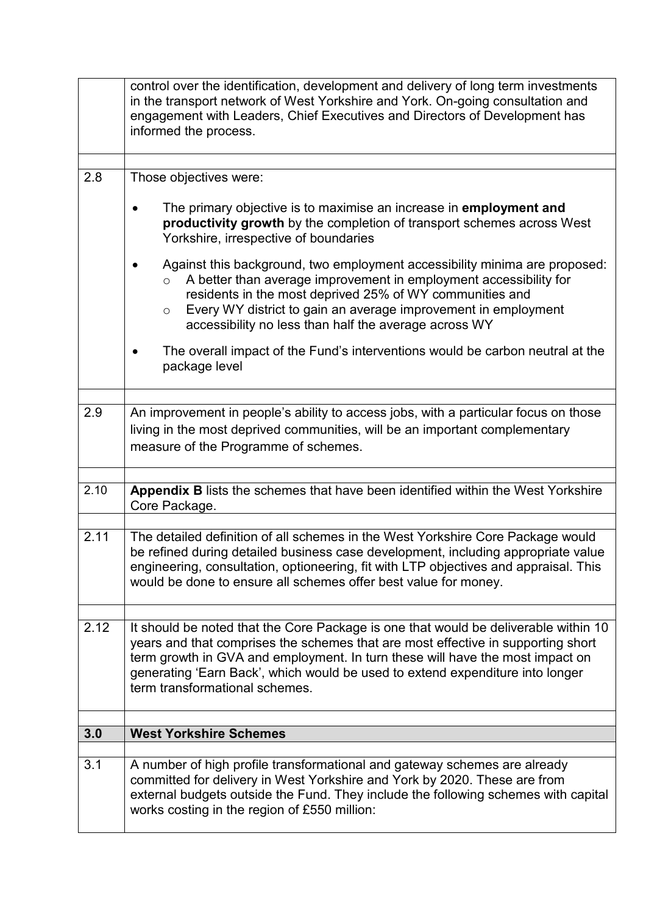|      | control over the identification, development and delivery of long term investments<br>in the transport network of West Yorkshire and York. On-going consultation and<br>engagement with Leaders, Chief Executives and Directors of Development has<br>informed the process.                                                                                                 |  |  |  |  |  |  |
|------|-----------------------------------------------------------------------------------------------------------------------------------------------------------------------------------------------------------------------------------------------------------------------------------------------------------------------------------------------------------------------------|--|--|--|--|--|--|
| 2.8  | Those objectives were:                                                                                                                                                                                                                                                                                                                                                      |  |  |  |  |  |  |
|      |                                                                                                                                                                                                                                                                                                                                                                             |  |  |  |  |  |  |
|      | The primary objective is to maximise an increase in employment and<br>productivity growth by the completion of transport schemes across West<br>Yorkshire, irrespective of boundaries                                                                                                                                                                                       |  |  |  |  |  |  |
|      | Against this background, two employment accessibility minima are proposed:<br>A better than average improvement in employment accessibility for<br>$\circ$<br>residents in the most deprived 25% of WY communities and<br>Every WY district to gain an average improvement in employment<br>$\circ$<br>accessibility no less than half the average across WY                |  |  |  |  |  |  |
|      | The overall impact of the Fund's interventions would be carbon neutral at the<br>package level                                                                                                                                                                                                                                                                              |  |  |  |  |  |  |
| 2.9  | An improvement in people's ability to access jobs, with a particular focus on those<br>living in the most deprived communities, will be an important complementary<br>measure of the Programme of schemes.                                                                                                                                                                  |  |  |  |  |  |  |
|      |                                                                                                                                                                                                                                                                                                                                                                             |  |  |  |  |  |  |
| 2.10 | Appendix B lists the schemes that have been identified within the West Yorkshire<br>Core Package.                                                                                                                                                                                                                                                                           |  |  |  |  |  |  |
| 2.11 | The detailed definition of all schemes in the West Yorkshire Core Package would<br>be refined during detailed business case development, including appropriate value<br>engineering, consultation, optioneering, fit with LTP objectives and appraisal. This<br>would be done to ensure all schemes offer best value for money.                                             |  |  |  |  |  |  |
|      |                                                                                                                                                                                                                                                                                                                                                                             |  |  |  |  |  |  |
| 2.12 | It should be noted that the Core Package is one that would be deliverable within 10<br>years and that comprises the schemes that are most effective in supporting short<br>term growth in GVA and employment. In turn these will have the most impact on<br>generating 'Earn Back', which would be used to extend expenditure into longer<br>term transformational schemes. |  |  |  |  |  |  |
| 3.0  | <b>West Yorkshire Schemes</b>                                                                                                                                                                                                                                                                                                                                               |  |  |  |  |  |  |
|      |                                                                                                                                                                                                                                                                                                                                                                             |  |  |  |  |  |  |
| 3.1  | A number of high profile transformational and gateway schemes are already<br>committed for delivery in West Yorkshire and York by 2020. These are from<br>external budgets outside the Fund. They include the following schemes with capital<br>works costing in the region of £550 million:                                                                                |  |  |  |  |  |  |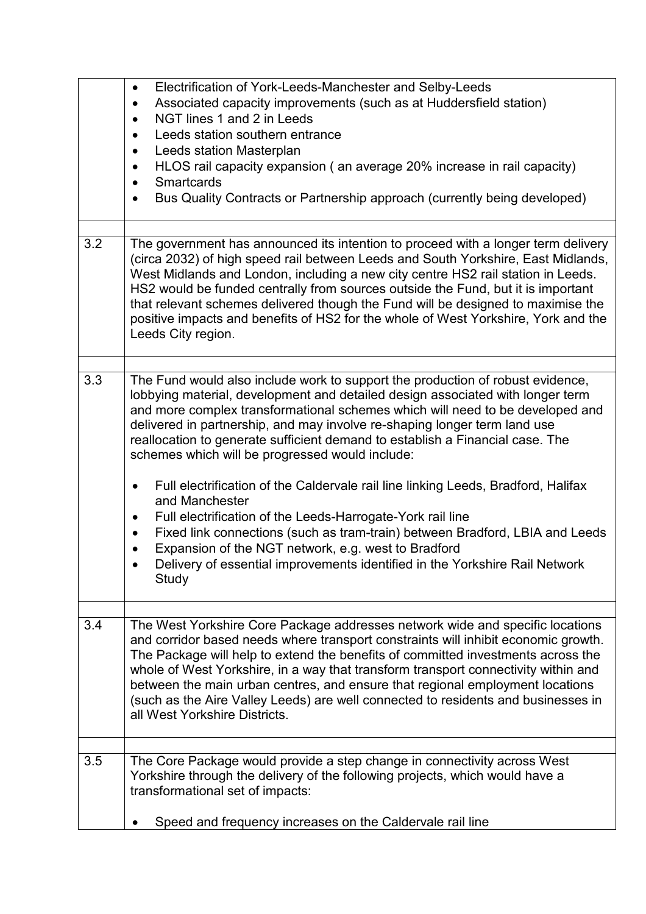|     | Electrification of York-Leeds-Manchester and Selby-Leeds<br>$\bullet$<br>Associated capacity improvements (such as at Huddersfield station)<br>$\bullet$<br>NGT lines 1 and 2 in Leeds<br>$\bullet$<br>Leeds station southern entrance<br>$\bullet$<br>Leeds station Masterplan<br>$\bullet$<br>HLOS rail capacity expansion (an average 20% increase in rail capacity)<br>$\bullet$<br>Smartcards<br>$\bullet$<br>Bus Quality Contracts or Partnership approach (currently being developed)<br>٠                                                                                                                                                                                                                                                                                                                                                                                                     |
|-----|-------------------------------------------------------------------------------------------------------------------------------------------------------------------------------------------------------------------------------------------------------------------------------------------------------------------------------------------------------------------------------------------------------------------------------------------------------------------------------------------------------------------------------------------------------------------------------------------------------------------------------------------------------------------------------------------------------------------------------------------------------------------------------------------------------------------------------------------------------------------------------------------------------|
| 3.2 | The government has announced its intention to proceed with a longer term delivery<br>(circa 2032) of high speed rail between Leeds and South Yorkshire, East Midlands,<br>West Midlands and London, including a new city centre HS2 rail station in Leeds.<br>HS2 would be funded centrally from sources outside the Fund, but it is important<br>that relevant schemes delivered though the Fund will be designed to maximise the<br>positive impacts and benefits of HS2 for the whole of West Yorkshire, York and the<br>Leeds City region.                                                                                                                                                                                                                                                                                                                                                        |
| 3.3 | The Fund would also include work to support the production of robust evidence,<br>lobbying material, development and detailed design associated with longer term<br>and more complex transformational schemes which will need to be developed and<br>delivered in partnership, and may involve re-shaping longer term land use<br>reallocation to generate sufficient demand to establish a Financial case. The<br>schemes which will be progressed would include:<br>Full electrification of the Caldervale rail line linking Leeds, Bradford, Halifax<br>$\bullet$<br>and Manchester<br>Full electrification of the Leeds-Harrogate-York rail line<br>٠<br>Fixed link connections (such as tram-train) between Bradford, LBIA and Leeds<br>$\bullet$<br>Expansion of the NGT network, e.g. west to Bradford<br>Delivery of essential improvements identified in the Yorkshire Rail Network<br>Study |
| 3.4 | The West Yorkshire Core Package addresses network wide and specific locations<br>and corridor based needs where transport constraints will inhibit economic growth.<br>The Package will help to extend the benefits of committed investments across the<br>whole of West Yorkshire, in a way that transform transport connectivity within and<br>between the main urban centres, and ensure that regional employment locations<br>(such as the Aire Valley Leeds) are well connected to residents and businesses in<br>all West Yorkshire Districts.                                                                                                                                                                                                                                                                                                                                                  |
| 3.5 | The Core Package would provide a step change in connectivity across West<br>Yorkshire through the delivery of the following projects, which would have a<br>transformational set of impacts:<br>Speed and frequency increases on the Caldervale rail line                                                                                                                                                                                                                                                                                                                                                                                                                                                                                                                                                                                                                                             |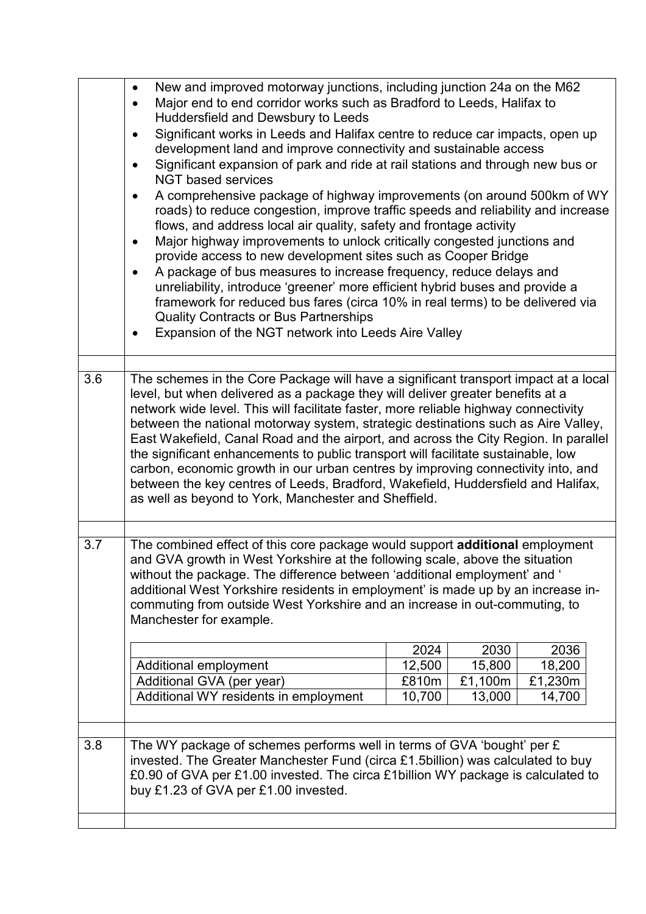|     | New and improved motorway junctions, including junction 24a on the M62<br>$\bullet$<br>Major end to end corridor works such as Bradford to Leeds, Halifax to<br>$\bullet$<br>Huddersfield and Dewsbury to Leeds<br>Significant works in Leeds and Halifax centre to reduce car impacts, open up<br>$\bullet$<br>development land and improve connectivity and sustainable access<br>Significant expansion of park and ride at rail stations and through new bus or<br>$\bullet$<br><b>NGT based services</b><br>A comprehensive package of highway improvements (on around 500km of WY<br>$\bullet$<br>roads) to reduce congestion, improve traffic speeds and reliability and increase<br>flows, and address local air quality, safety and frontage activity<br>Major highway improvements to unlock critically congested junctions and<br>$\bullet$<br>provide access to new development sites such as Cooper Bridge<br>A package of bus measures to increase frequency, reduce delays and<br>$\bullet$<br>unreliability, introduce 'greener' more efficient hybrid buses and provide a<br>framework for reduced bus fares (circa 10% in real terms) to be delivered via<br><b>Quality Contracts or Bus Partnerships</b><br>Expansion of the NGT network into Leeds Aire Valley |                                   |                                     |                                     |  |  |  |
|-----|-----------------------------------------------------------------------------------------------------------------------------------------------------------------------------------------------------------------------------------------------------------------------------------------------------------------------------------------------------------------------------------------------------------------------------------------------------------------------------------------------------------------------------------------------------------------------------------------------------------------------------------------------------------------------------------------------------------------------------------------------------------------------------------------------------------------------------------------------------------------------------------------------------------------------------------------------------------------------------------------------------------------------------------------------------------------------------------------------------------------------------------------------------------------------------------------------------------------------------------------------------------------------------------|-----------------------------------|-------------------------------------|-------------------------------------|--|--|--|
| 3.6 | The schemes in the Core Package will have a significant transport impact at a local<br>level, but when delivered as a package they will deliver greater benefits at a<br>network wide level. This will facilitate faster, more reliable highway connectivity<br>between the national motorway system, strategic destinations such as Aire Valley,<br>East Wakefield, Canal Road and the airport, and across the City Region. In parallel<br>the significant enhancements to public transport will facilitate sustainable, low<br>carbon, economic growth in our urban centres by improving connectivity into, and<br>between the key centres of Leeds, Bradford, Wakefield, Huddersfield and Halifax,<br>as well as beyond to York, Manchester and Sheffield.                                                                                                                                                                                                                                                                                                                                                                                                                                                                                                                     |                                   |                                     |                                     |  |  |  |
| 3.7 | The combined effect of this core package would support additional employment<br>and GVA growth in West Yorkshire at the following scale, above the situation<br>without the package. The difference between 'additional employment' and '<br>additional West Yorkshire residents in employment' is made up by an increase in-<br>commuting from outside West Yorkshire and an increase in out-commuting, to<br>Manchester for example.<br>Additional employment<br>Additional GVA (per year)<br>Additional WY residents in employment                                                                                                                                                                                                                                                                                                                                                                                                                                                                                                                                                                                                                                                                                                                                             | 2024<br>12,500<br>£810m<br>10,700 | 2030<br>15,800<br>£1,100m<br>13,000 | 2036<br>18,200<br>£1,230m<br>14,700 |  |  |  |
| 3.8 | The WY package of schemes performs well in terms of GVA 'bought' per £<br>invested. The Greater Manchester Fund (circa £1.5billion) was calculated to buy<br>£0.90 of GVA per £1.00 invested. The circa £1billion WY package is calculated to<br>buy £1.23 of GVA per £1.00 invested.                                                                                                                                                                                                                                                                                                                                                                                                                                                                                                                                                                                                                                                                                                                                                                                                                                                                                                                                                                                             |                                   |                                     |                                     |  |  |  |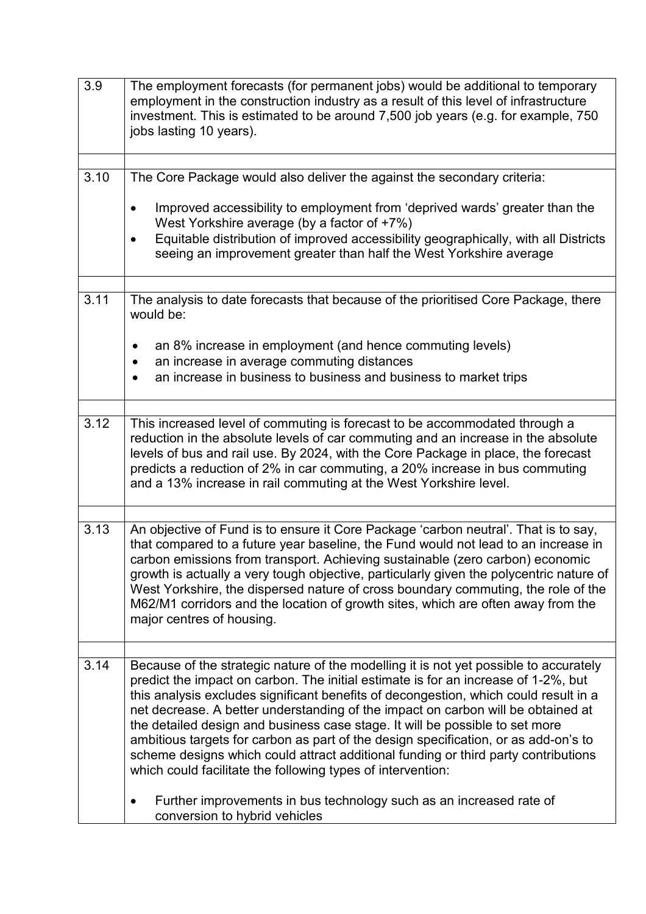| 3.9  | The employment forecasts (for permanent jobs) would be additional to temporary<br>employment in the construction industry as a result of this level of infrastructure<br>investment. This is estimated to be around 7,500 job years (e.g. for example, 750<br>jobs lasting 10 years).                                                                                                                                                                                                                                                                                                                                                                                               |
|------|-------------------------------------------------------------------------------------------------------------------------------------------------------------------------------------------------------------------------------------------------------------------------------------------------------------------------------------------------------------------------------------------------------------------------------------------------------------------------------------------------------------------------------------------------------------------------------------------------------------------------------------------------------------------------------------|
| 3.10 | The Core Package would also deliver the against the secondary criteria:                                                                                                                                                                                                                                                                                                                                                                                                                                                                                                                                                                                                             |
|      |                                                                                                                                                                                                                                                                                                                                                                                                                                                                                                                                                                                                                                                                                     |
|      | Improved accessibility to employment from 'deprived wards' greater than the<br>West Yorkshire average (by a factor of +7%)                                                                                                                                                                                                                                                                                                                                                                                                                                                                                                                                                          |
|      | Equitable distribution of improved accessibility geographically, with all Districts<br>seeing an improvement greater than half the West Yorkshire average                                                                                                                                                                                                                                                                                                                                                                                                                                                                                                                           |
|      |                                                                                                                                                                                                                                                                                                                                                                                                                                                                                                                                                                                                                                                                                     |
| 3.11 | The analysis to date forecasts that because of the prioritised Core Package, there<br>would be:                                                                                                                                                                                                                                                                                                                                                                                                                                                                                                                                                                                     |
|      | an 8% increase in employment (and hence commuting levels)                                                                                                                                                                                                                                                                                                                                                                                                                                                                                                                                                                                                                           |
|      | an increase in average commuting distances<br>an increase in business to business and business to market trips                                                                                                                                                                                                                                                                                                                                                                                                                                                                                                                                                                      |
|      |                                                                                                                                                                                                                                                                                                                                                                                                                                                                                                                                                                                                                                                                                     |
| 3.12 | This increased level of commuting is forecast to be accommodated through a                                                                                                                                                                                                                                                                                                                                                                                                                                                                                                                                                                                                          |
|      | reduction in the absolute levels of car commuting and an increase in the absolute<br>levels of bus and rail use. By 2024, with the Core Package in place, the forecast<br>predicts a reduction of 2% in car commuting, a 20% increase in bus commuting<br>and a 13% increase in rail commuting at the West Yorkshire level.                                                                                                                                                                                                                                                                                                                                                         |
|      |                                                                                                                                                                                                                                                                                                                                                                                                                                                                                                                                                                                                                                                                                     |
| 3.13 | An objective of Fund is to ensure it Core Package 'carbon neutral'. That is to say,<br>that compared to a future year baseline, the Fund would not lead to an increase in<br>carbon emissions from transport. Achieving sustainable (zero carbon) economic<br>growth is actually a very tough objective, particularly given the polycentric nature of<br>West Yorkshire, the dispersed nature of cross boundary commuting, the role of the<br>M62/M1 corridors and the location of growth sites, which are often away from the<br>major centres of housing.                                                                                                                         |
|      |                                                                                                                                                                                                                                                                                                                                                                                                                                                                                                                                                                                                                                                                                     |
| 3.14 | Because of the strategic nature of the modelling it is not yet possible to accurately<br>predict the impact on carbon. The initial estimate is for an increase of 1-2%, but<br>this analysis excludes significant benefits of decongestion, which could result in a<br>net decrease. A better understanding of the impact on carbon will be obtained at<br>the detailed design and business case stage. It will be possible to set more<br>ambitious targets for carbon as part of the design specification, or as add-on's to<br>scheme designs which could attract additional funding or third party contributions<br>which could facilitate the following types of intervention: |
|      | Further improvements in bus technology such as an increased rate of<br>conversion to hybrid vehicles                                                                                                                                                                                                                                                                                                                                                                                                                                                                                                                                                                                |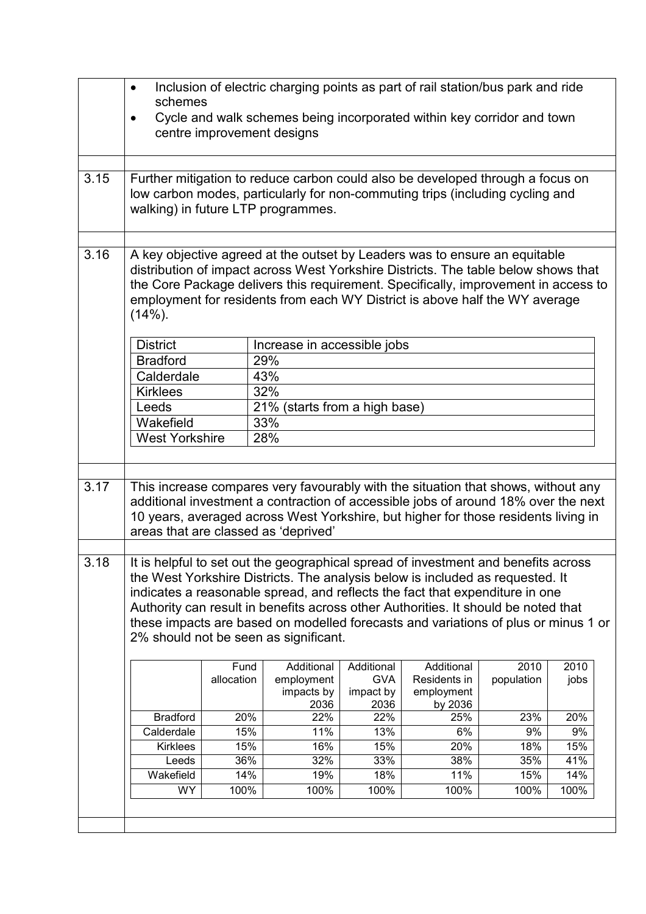|      | Inclusion of electric charging points as part of rail station/bus park and ride<br>$\bullet$<br>schemes                                                                                                                                                                                                                                         |            |                                                                                                                     |             |                |            |      |  |
|------|-------------------------------------------------------------------------------------------------------------------------------------------------------------------------------------------------------------------------------------------------------------------------------------------------------------------------------------------------|------------|---------------------------------------------------------------------------------------------------------------------|-------------|----------------|------------|------|--|
|      | Cycle and walk schemes being incorporated within key corridor and town<br>$\bullet$                                                                                                                                                                                                                                                             |            |                                                                                                                     |             |                |            |      |  |
|      | centre improvement designs                                                                                                                                                                                                                                                                                                                      |            |                                                                                                                     |             |                |            |      |  |
|      |                                                                                                                                                                                                                                                                                                                                                 |            |                                                                                                                     |             |                |            |      |  |
| 3.15 |                                                                                                                                                                                                                                                                                                                                                 |            | Further mitigation to reduce carbon could also be developed through a focus on                                      |             |                |            |      |  |
|      |                                                                                                                                                                                                                                                                                                                                                 |            | low carbon modes, particularly for non-commuting trips (including cycling and<br>walking) in future LTP programmes. |             |                |            |      |  |
|      |                                                                                                                                                                                                                                                                                                                                                 |            |                                                                                                                     |             |                |            |      |  |
| 3.16 | A key objective agreed at the outset by Leaders was to ensure an equitable<br>distribution of impact across West Yorkshire Districts. The table below shows that<br>the Core Package delivers this requirement. Specifically, improvement in access to<br>employment for residents from each WY District is above half the WY average<br>(14%). |            |                                                                                                                     |             |                |            |      |  |
|      | <b>District</b>                                                                                                                                                                                                                                                                                                                                 |            | Increase in accessible jobs                                                                                         |             |                |            |      |  |
|      | <b>Bradford</b>                                                                                                                                                                                                                                                                                                                                 |            | 29%                                                                                                                 |             |                |            |      |  |
|      | Calderdale                                                                                                                                                                                                                                                                                                                                      |            | 43%                                                                                                                 |             |                |            |      |  |
|      | <b>Kirklees</b>                                                                                                                                                                                                                                                                                                                                 |            | 32%                                                                                                                 |             |                |            |      |  |
|      | Leeds                                                                                                                                                                                                                                                                                                                                           |            | 21% (starts from a high base)                                                                                       |             |                |            |      |  |
|      | Wakefield                                                                                                                                                                                                                                                                                                                                       |            | 33%                                                                                                                 |             |                |            |      |  |
|      | <b>West Yorkshire</b>                                                                                                                                                                                                                                                                                                                           |            | 28%                                                                                                                 |             |                |            |      |  |
|      |                                                                                                                                                                                                                                                                                                                                                 |            |                                                                                                                     |             |                |            |      |  |
|      |                                                                                                                                                                                                                                                                                                                                                 |            |                                                                                                                     |             |                |            |      |  |
| 3.17 | This increase compares very favourably with the situation that shows, without any                                                                                                                                                                                                                                                               |            |                                                                                                                     |             |                |            |      |  |
|      | additional investment a contraction of accessible jobs of around 18% over the next                                                                                                                                                                                                                                                              |            |                                                                                                                     |             |                |            |      |  |
|      | 10 years, averaged across West Yorkshire, but higher for those residents living in                                                                                                                                                                                                                                                              |            |                                                                                                                     |             |                |            |      |  |
|      | areas that are classed as 'deprived'                                                                                                                                                                                                                                                                                                            |            |                                                                                                                     |             |                |            |      |  |
|      |                                                                                                                                                                                                                                                                                                                                                 |            |                                                                                                                     |             |                |            |      |  |
| 3.18 | It is helpful to set out the geographical spread of investment and benefits across<br>the West Yorkshire Districts. The analysis below is included as requested. It                                                                                                                                                                             |            |                                                                                                                     |             |                |            |      |  |
|      |                                                                                                                                                                                                                                                                                                                                                 |            |                                                                                                                     |             |                |            |      |  |
|      | indicates a reasonable spread, and reflects the fact that expenditure in one                                                                                                                                                                                                                                                                    |            |                                                                                                                     |             |                |            |      |  |
|      | Authority can result in benefits across other Authorities. It should be noted that                                                                                                                                                                                                                                                              |            |                                                                                                                     |             |                |            |      |  |
|      | these impacts are based on modelled forecasts and variations of plus or minus 1 or<br>2% should not be seen as significant.                                                                                                                                                                                                                     |            |                                                                                                                     |             |                |            |      |  |
|      |                                                                                                                                                                                                                                                                                                                                                 |            |                                                                                                                     |             |                |            |      |  |
|      |                                                                                                                                                                                                                                                                                                                                                 | Fund       | Additional                                                                                                          | Additional  | Additional     | 2010       | 2010 |  |
|      |                                                                                                                                                                                                                                                                                                                                                 | allocation | employment                                                                                                          | <b>GVA</b>  | Residents in   | population | jobs |  |
|      |                                                                                                                                                                                                                                                                                                                                                 |            | impacts by                                                                                                          | impact by   | employment     |            |      |  |
|      | <b>Bradford</b>                                                                                                                                                                                                                                                                                                                                 | 20%        | 2036<br>22%                                                                                                         | 2036<br>22% | by 2036<br>25% | 23%        | 20%  |  |
|      | Calderdale                                                                                                                                                                                                                                                                                                                                      | 15%        | 11%                                                                                                                 | 13%         | 6%             | 9%         | 9%   |  |
|      | <b>Kirklees</b>                                                                                                                                                                                                                                                                                                                                 | 15%        | 16%                                                                                                                 | 15%         | 20%            | 18%        | 15%  |  |
|      | Leeds                                                                                                                                                                                                                                                                                                                                           | 36%        | 32%                                                                                                                 | 33%         | 38%            | 35%        | 41%  |  |
|      | Wakefield                                                                                                                                                                                                                                                                                                                                       | 14%        | 19%                                                                                                                 | 18%         | 11%            | 15%        | 14%  |  |
|      | <b>WY</b>                                                                                                                                                                                                                                                                                                                                       | 100%       | 100%                                                                                                                | 100%        | 100%           | 100%       | 100% |  |
|      |                                                                                                                                                                                                                                                                                                                                                 |            |                                                                                                                     |             |                |            |      |  |
|      |                                                                                                                                                                                                                                                                                                                                                 |            |                                                                                                                     |             |                |            |      |  |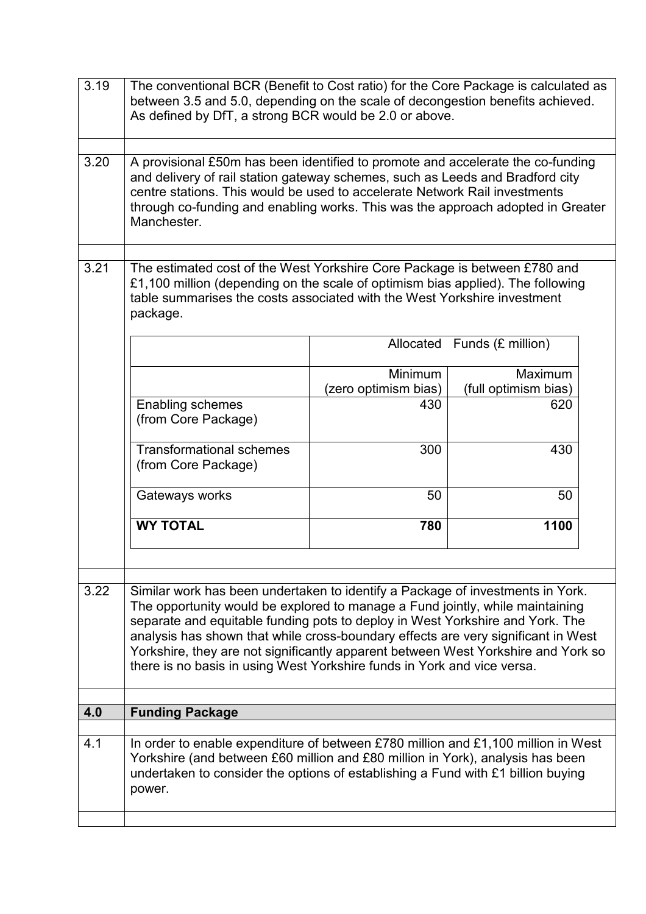| 3.19 | The conventional BCR (Benefit to Cost ratio) for the Core Package is calculated as                                                                                                                                                                                                                                                                                                                                                                                                                    |                      |                      |  |  |  |  |  |
|------|-------------------------------------------------------------------------------------------------------------------------------------------------------------------------------------------------------------------------------------------------------------------------------------------------------------------------------------------------------------------------------------------------------------------------------------------------------------------------------------------------------|----------------------|----------------------|--|--|--|--|--|
|      | between 3.5 and 5.0, depending on the scale of decongestion benefits achieved.<br>As defined by DfT, a strong BCR would be 2.0 or above.                                                                                                                                                                                                                                                                                                                                                              |                      |                      |  |  |  |  |  |
|      |                                                                                                                                                                                                                                                                                                                                                                                                                                                                                                       |                      |                      |  |  |  |  |  |
| 3.20 | A provisional £50m has been identified to promote and accelerate the co-funding<br>and delivery of rail station gateway schemes, such as Leeds and Bradford city<br>centre stations. This would be used to accelerate Network Rail investments<br>through co-funding and enabling works. This was the approach adopted in Greater<br>Manchester.                                                                                                                                                      |                      |                      |  |  |  |  |  |
| 3.21 | The estimated cost of the West Yorkshire Core Package is between £780 and<br>£1,100 million (depending on the scale of optimism bias applied). The following<br>table summarises the costs associated with the West Yorkshire investment<br>package.                                                                                                                                                                                                                                                  |                      |                      |  |  |  |  |  |
|      |                                                                                                                                                                                                                                                                                                                                                                                                                                                                                                       | Allocated            | Funds (£ million)    |  |  |  |  |  |
|      |                                                                                                                                                                                                                                                                                                                                                                                                                                                                                                       | Minimum              | <b>Maximum</b>       |  |  |  |  |  |
|      |                                                                                                                                                                                                                                                                                                                                                                                                                                                                                                       | (zero optimism bias) | (full optimism bias) |  |  |  |  |  |
|      | Enabling schemes<br>(from Core Package)                                                                                                                                                                                                                                                                                                                                                                                                                                                               | 430                  | 620                  |  |  |  |  |  |
|      | <b>Transformational schemes</b><br>(from Core Package)                                                                                                                                                                                                                                                                                                                                                                                                                                                | 300                  | 430                  |  |  |  |  |  |
|      | Gateways works                                                                                                                                                                                                                                                                                                                                                                                                                                                                                        | 50                   | 50                   |  |  |  |  |  |
|      | <b>WY TOTAL</b>                                                                                                                                                                                                                                                                                                                                                                                                                                                                                       | 780                  | 1100                 |  |  |  |  |  |
|      |                                                                                                                                                                                                                                                                                                                                                                                                                                                                                                       |                      |                      |  |  |  |  |  |
| 3.22 | Similar work has been undertaken to identify a Package of investments in York.<br>The opportunity would be explored to manage a Fund jointly, while maintaining<br>separate and equitable funding pots to deploy in West Yorkshire and York. The<br>analysis has shown that while cross-boundary effects are very significant in West<br>Yorkshire, they are not significantly apparent between West Yorkshire and York so<br>there is no basis in using West Yorkshire funds in York and vice versa. |                      |                      |  |  |  |  |  |
| 4.0  | <b>Funding Package</b>                                                                                                                                                                                                                                                                                                                                                                                                                                                                                |                      |                      |  |  |  |  |  |
|      |                                                                                                                                                                                                                                                                                                                                                                                                                                                                                                       |                      |                      |  |  |  |  |  |
| 4.1  | In order to enable expenditure of between £780 million and £1,100 million in West<br>Yorkshire (and between £60 million and £80 million in York), analysis has been<br>undertaken to consider the options of establishing a Fund with £1 billion buying<br>power.                                                                                                                                                                                                                                     |                      |                      |  |  |  |  |  |
|      |                                                                                                                                                                                                                                                                                                                                                                                                                                                                                                       |                      |                      |  |  |  |  |  |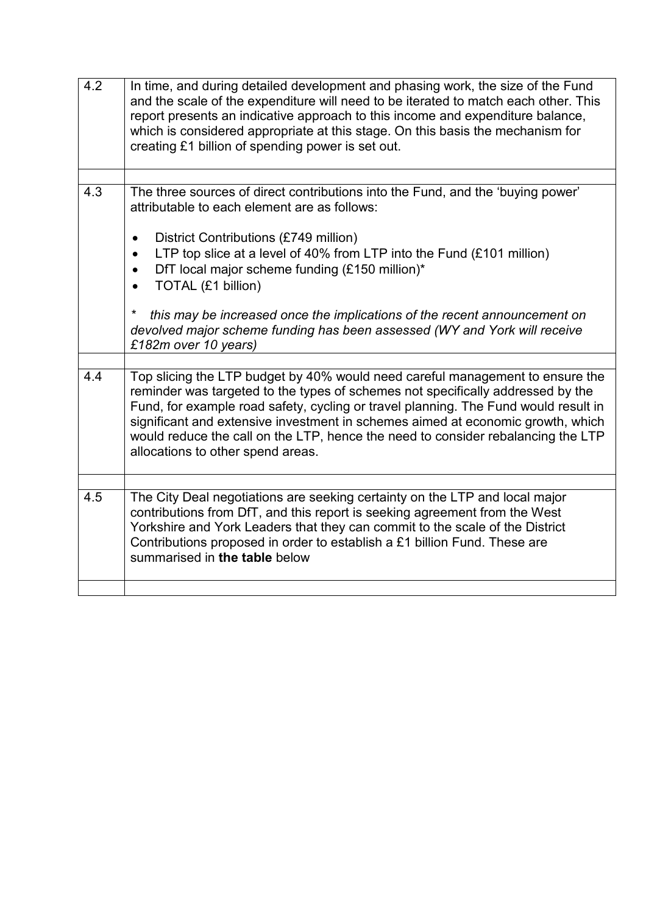| 4.2 | In time, and during detailed development and phasing work, the size of the Fund<br>and the scale of the expenditure will need to be iterated to match each other. This<br>report presents an indicative approach to this income and expenditure balance,<br>which is considered appropriate at this stage. On this basis the mechanism for<br>creating £1 billion of spending power is set out.                                                                     |
|-----|---------------------------------------------------------------------------------------------------------------------------------------------------------------------------------------------------------------------------------------------------------------------------------------------------------------------------------------------------------------------------------------------------------------------------------------------------------------------|
|     |                                                                                                                                                                                                                                                                                                                                                                                                                                                                     |
| 4.3 | The three sources of direct contributions into the Fund, and the 'buying power'<br>attributable to each element are as follows:<br>District Contributions (£749 million)<br>$\bullet$<br>LTP top slice at a level of 40% from LTP into the Fund (£101 million)<br>$\bullet$<br>DfT local major scheme funding (£150 million)*<br>$\bullet$<br>TOTAL (£1 billion)                                                                                                    |
|     | $\star$<br>this may be increased once the implications of the recent announcement on<br>devolved major scheme funding has been assessed (WY and York will receive<br>£182m over 10 years)                                                                                                                                                                                                                                                                           |
|     |                                                                                                                                                                                                                                                                                                                                                                                                                                                                     |
| 4.4 | Top slicing the LTP budget by 40% would need careful management to ensure the<br>reminder was targeted to the types of schemes not specifically addressed by the<br>Fund, for example road safety, cycling or travel planning. The Fund would result in<br>significant and extensive investment in schemes aimed at economic growth, which<br>would reduce the call on the LTP, hence the need to consider rebalancing the LTP<br>allocations to other spend areas. |
|     |                                                                                                                                                                                                                                                                                                                                                                                                                                                                     |
| 4.5 | The City Deal negotiations are seeking certainty on the LTP and local major<br>contributions from DfT, and this report is seeking agreement from the West<br>Yorkshire and York Leaders that they can commit to the scale of the District<br>Contributions proposed in order to establish a £1 billion Fund. These are<br>summarised in the table below                                                                                                             |
|     |                                                                                                                                                                                                                                                                                                                                                                                                                                                                     |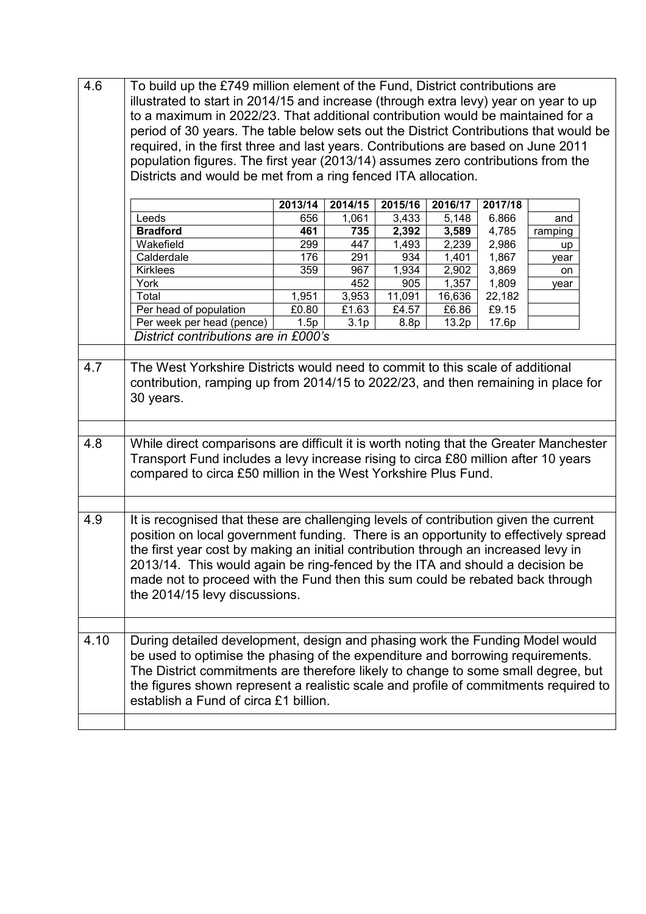| 4.6  | To build up the £749 million element of the Fund, District contributions are<br>illustrated to start in 2014/15 and increase (through extra levy) year on year to up<br>to a maximum in 2022/23. That additional contribution would be maintained for a                                                                                                                                                                                                             |       |                           |                    |                |                |         |  |
|------|---------------------------------------------------------------------------------------------------------------------------------------------------------------------------------------------------------------------------------------------------------------------------------------------------------------------------------------------------------------------------------------------------------------------------------------------------------------------|-------|---------------------------|--------------------|----------------|----------------|---------|--|
|      |                                                                                                                                                                                                                                                                                                                                                                                                                                                                     |       |                           |                    |                |                |         |  |
|      | period of 30 years. The table below sets out the District Contributions that would be<br>required, in the first three and last years. Contributions are based on June 2011                                                                                                                                                                                                                                                                                          |       |                           |                    |                |                |         |  |
|      | population figures. The first year (2013/14) assumes zero contributions from the                                                                                                                                                                                                                                                                                                                                                                                    |       |                           |                    |                |                |         |  |
|      | Districts and would be met from a ring fenced ITA allocation.                                                                                                                                                                                                                                                                                                                                                                                                       |       |                           |                    |                |                |         |  |
|      |                                                                                                                                                                                                                                                                                                                                                                                                                                                                     |       |                           |                    |                |                |         |  |
|      | 2013/14<br>2014/15<br>2015/16<br>2016/17<br>2017/18                                                                                                                                                                                                                                                                                                                                                                                                                 |       |                           |                    |                |                |         |  |
|      | Leeds                                                                                                                                                                                                                                                                                                                                                                                                                                                               | 656   | 1,061                     | 3,433              | 5,148          | 6.866          | and     |  |
|      | <b>Bradford</b>                                                                                                                                                                                                                                                                                                                                                                                                                                                     | 461   | 735                       | $\overline{2,}392$ | 3,589          | 4,785          | ramping |  |
|      | Wakefield                                                                                                                                                                                                                                                                                                                                                                                                                                                           | 299   | 447                       | 1,493              | 2,239          | 2,986          | up      |  |
|      | Calderdale                                                                                                                                                                                                                                                                                                                                                                                                                                                          | 176   | 291                       | 934                | 1,401          | 1,867          | year    |  |
|      | <b>Kirklees</b>                                                                                                                                                                                                                                                                                                                                                                                                                                                     | 359   | 967                       | 1,934              | 2,902          | 3,869          | on      |  |
|      | York                                                                                                                                                                                                                                                                                                                                                                                                                                                                |       | 452                       | 905                | 1,357          | 1,809          | year    |  |
|      | Total                                                                                                                                                                                                                                                                                                                                                                                                                                                               | 1,951 | 3,953                     | 11,091             | 16,636         | 22,182         |         |  |
|      | Per head of population<br>Per week per head (pence)                                                                                                                                                                                                                                                                                                                                                                                                                 | £0.80 | £1.63<br>3.1 <sub>p</sub> | £4.57<br>8.8p      | £6.86<br>13.2p | £9.15<br>17.6p |         |  |
|      | District contributions are in £000's                                                                                                                                                                                                                                                                                                                                                                                                                                | 1.5p  |                           |                    |                |                |         |  |
|      |                                                                                                                                                                                                                                                                                                                                                                                                                                                                     |       |                           |                    |                |                |         |  |
| 4.7  | The West Yorkshire Districts would need to commit to this scale of additional<br>contribution, ramping up from 2014/15 to 2022/23, and then remaining in place for<br>30 years.                                                                                                                                                                                                                                                                                     |       |                           |                    |                |                |         |  |
|      |                                                                                                                                                                                                                                                                                                                                                                                                                                                                     |       |                           |                    |                |                |         |  |
| 4.8  | While direct comparisons are difficult it is worth noting that the Greater Manchester<br>Transport Fund includes a levy increase rising to circa £80 million after 10 years<br>compared to circa £50 million in the West Yorkshire Plus Fund.                                                                                                                                                                                                                       |       |                           |                    |                |                |         |  |
|      |                                                                                                                                                                                                                                                                                                                                                                                                                                                                     |       |                           |                    |                |                |         |  |
| 4.9  | It is recognised that these are challenging levels of contribution given the current<br>position on local government funding. There is an opportunity to effectively spread<br>the first year cost by making an initial contribution through an increased levy in<br>2013/14. This would again be ring-fenced by the ITA and should a decision be<br>made not to proceed with the Fund then this sum could be rebated back through<br>the 2014/15 levy discussions. |       |                           |                    |                |                |         |  |
|      |                                                                                                                                                                                                                                                                                                                                                                                                                                                                     |       |                           |                    |                |                |         |  |
| 4.10 | During detailed development, design and phasing work the Funding Model would<br>be used to optimise the phasing of the expenditure and borrowing requirements.<br>The District commitments are therefore likely to change to some small degree, but<br>the figures shown represent a realistic scale and profile of commitments required to<br>establish a Fund of circa £1 billion.                                                                                |       |                           |                    |                |                |         |  |
|      |                                                                                                                                                                                                                                                                                                                                                                                                                                                                     |       |                           |                    |                |                |         |  |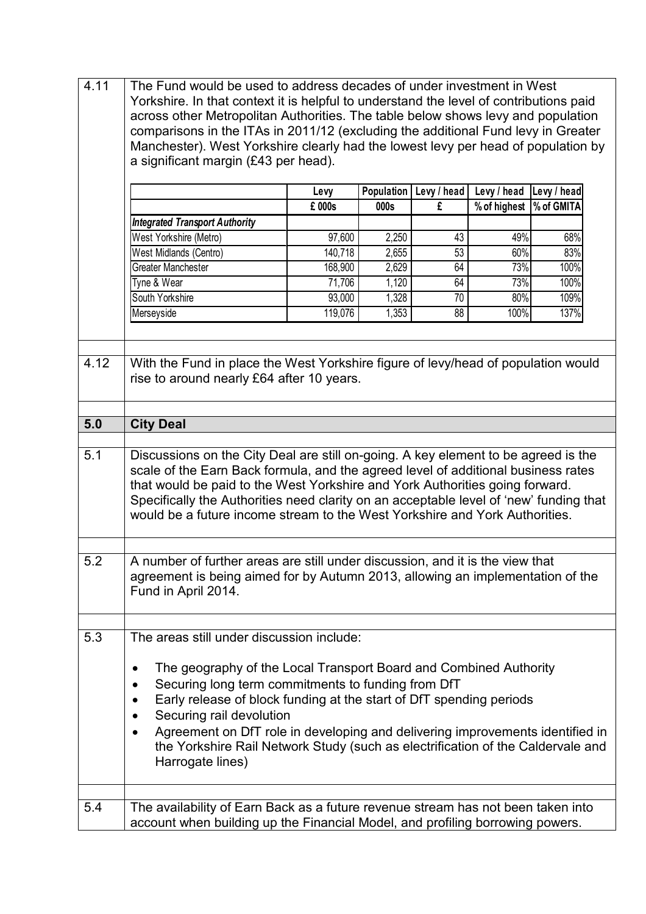| 4.11 | The Fund would be used to address decades of under investment in West<br>Yorkshire. In that context it is helpful to understand the level of contributions paid<br>across other Metropolitan Authorities. The table below shows levy and population<br>comparisons in the ITAs in 2011/12 (excluding the additional Fund levy in Greater<br>Manchester). West Yorkshire clearly had the lowest levy per head of population by<br>a significant margin (£43 per head). |                      |                      |                  |                             |             |  |
|------|-----------------------------------------------------------------------------------------------------------------------------------------------------------------------------------------------------------------------------------------------------------------------------------------------------------------------------------------------------------------------------------------------------------------------------------------------------------------------|----------------------|----------------------|------------------|-----------------------------|-------------|--|
|      |                                                                                                                                                                                                                                                                                                                                                                                                                                                                       | Levy                 | Population  <br>000s | Levy / head<br>£ | Levy / head<br>% of highest | Levy / head |  |
|      | <b>Integrated Transport Authority</b>                                                                                                                                                                                                                                                                                                                                                                                                                                 | % of GMITA<br>£ 000s |                      |                  |                             |             |  |
|      | West Yorkshire (Metro)                                                                                                                                                                                                                                                                                                                                                                                                                                                | 97,600               | 2,250                | 43               | 49%                         | 68%         |  |
|      | West Midlands (Centro)                                                                                                                                                                                                                                                                                                                                                                                                                                                | 140,718              | 2,655                | 53               | 60%                         | 83%         |  |
|      | <b>Greater Manchester</b>                                                                                                                                                                                                                                                                                                                                                                                                                                             | 168,900              | 2,629                | 64               | 73%                         | 100%        |  |
|      | Tyne & Wear                                                                                                                                                                                                                                                                                                                                                                                                                                                           | 71,706               | 1,120                | 64               | 73%                         | 100%        |  |
|      | South Yorkshire                                                                                                                                                                                                                                                                                                                                                                                                                                                       | 93,000               | 1,328                | 70               | 80%                         | 109%        |  |
|      | Merseyside                                                                                                                                                                                                                                                                                                                                                                                                                                                            | 119,076              | 1,353                | 88               | 100%                        | 137%        |  |
|      |                                                                                                                                                                                                                                                                                                                                                                                                                                                                       |                      |                      |                  |                             |             |  |
| 4.12 | With the Fund in place the West Yorkshire figure of levy/head of population would<br>rise to around nearly £64 after 10 years.                                                                                                                                                                                                                                                                                                                                        |                      |                      |                  |                             |             |  |
| 5.0  | <b>City Deal</b>                                                                                                                                                                                                                                                                                                                                                                                                                                                      |                      |                      |                  |                             |             |  |
|      |                                                                                                                                                                                                                                                                                                                                                                                                                                                                       |                      |                      |                  |                             |             |  |
| 5.1  | Discussions on the City Deal are still on-going. A key element to be agreed is the<br>scale of the Earn Back formula, and the agreed level of additional business rates<br>that would be paid to the West Yorkshire and York Authorities going forward.<br>Specifically the Authorities need clarity on an acceptable level of 'new' funding that<br>would be a future income stream to the West Yorkshire and York Authorities.                                      |                      |                      |                  |                             |             |  |
|      |                                                                                                                                                                                                                                                                                                                                                                                                                                                                       |                      |                      |                  |                             |             |  |
| 5.2  | A number of further areas are still under discussion, and it is the view that<br>agreement is being aimed for by Autumn 2013, allowing an implementation of the<br>Fund in April 2014.                                                                                                                                                                                                                                                                                |                      |                      |                  |                             |             |  |
| 5.3  | The areas still under discussion include:                                                                                                                                                                                                                                                                                                                                                                                                                             |                      |                      |                  |                             |             |  |
|      | The geography of the Local Transport Board and Combined Authority<br>٠<br>Securing long term commitments to funding from DfT<br>Early release of block funding at the start of DfT spending periods<br>Securing rail devolution<br>Agreement on DfT role in developing and delivering improvements identified in<br>the Yorkshire Rail Network Study (such as electrification of the Caldervale and<br>Harrogate lines)                                               |                      |                      |                  |                             |             |  |
| 5.4  | The availability of Earn Back as a future revenue stream has not been taken into                                                                                                                                                                                                                                                                                                                                                                                      |                      |                      |                  |                             |             |  |
|      | account when building up the Financial Model, and profiling borrowing powers.                                                                                                                                                                                                                                                                                                                                                                                         |                      |                      |                  |                             |             |  |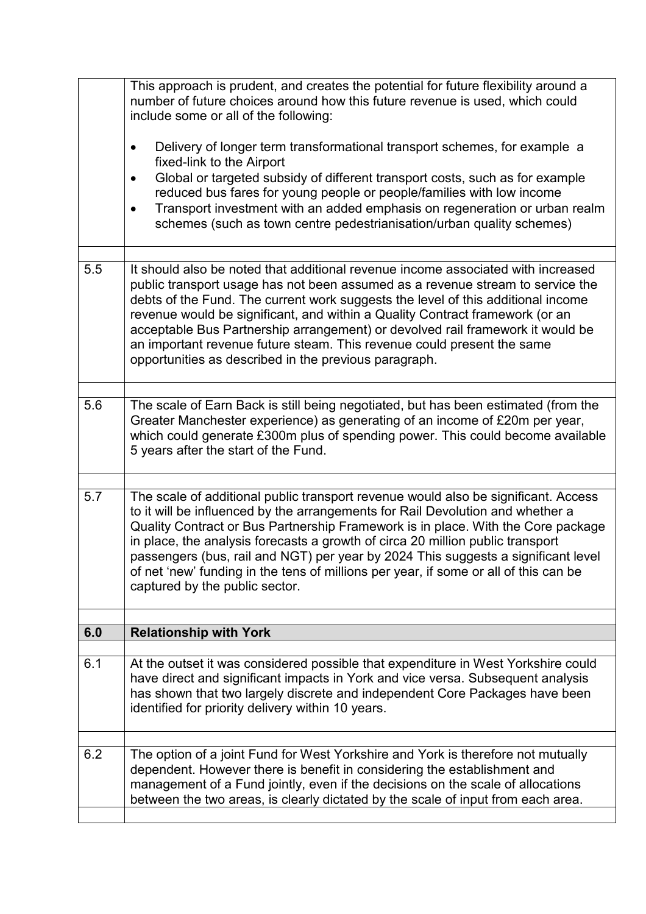|     | This approach is prudent, and creates the potential for future flexibility around a<br>number of future choices around how this future revenue is used, which could<br>include some or all of the following:<br>Delivery of longer term transformational transport schemes, for example a<br>$\bullet$<br>fixed-link to the Airport<br>Global or targeted subsidy of different transport costs, such as for example<br>$\bullet$<br>reduced bus fares for young people or people/families with low income<br>Transport investment with an added emphasis on regeneration or urban realm<br>$\bullet$<br>schemes (such as town centre pedestrianisation/urban quality schemes) |
|-----|-------------------------------------------------------------------------------------------------------------------------------------------------------------------------------------------------------------------------------------------------------------------------------------------------------------------------------------------------------------------------------------------------------------------------------------------------------------------------------------------------------------------------------------------------------------------------------------------------------------------------------------------------------------------------------|
| 5.5 | It should also be noted that additional revenue income associated with increased<br>public transport usage has not been assumed as a revenue stream to service the<br>debts of the Fund. The current work suggests the level of this additional income<br>revenue would be significant, and within a Quality Contract framework (or an<br>acceptable Bus Partnership arrangement) or devolved rail framework it would be<br>an important revenue future steam. This revenue could present the same<br>opportunities as described in the previous paragraph.                                                                                                                   |
| 5.6 | The scale of Earn Back is still being negotiated, but has been estimated (from the<br>Greater Manchester experience) as generating of an income of £20m per year,<br>which could generate £300m plus of spending power. This could become available<br>5 years after the start of the Fund.                                                                                                                                                                                                                                                                                                                                                                                   |
| 5.7 | The scale of additional public transport revenue would also be significant. Access<br>to it will be influenced by the arrangements for Rail Devolution and whether a<br>Quality Contract or Bus Partnership Framework is in place. With the Core package<br>in place, the analysis forecasts a growth of circa 20 million public transport<br>passengers (bus, rail and NGT) per year by 2024 This suggests a significant level<br>of net 'new' funding in the tens of millions per year, if some or all of this can be<br>captured by the public sector.                                                                                                                     |
| 6.0 | <b>Relationship with York</b>                                                                                                                                                                                                                                                                                                                                                                                                                                                                                                                                                                                                                                                 |
|     |                                                                                                                                                                                                                                                                                                                                                                                                                                                                                                                                                                                                                                                                               |
| 6.1 | At the outset it was considered possible that expenditure in West Yorkshire could<br>have direct and significant impacts in York and vice versa. Subsequent analysis<br>has shown that two largely discrete and independent Core Packages have been<br>identified for priority delivery within 10 years.                                                                                                                                                                                                                                                                                                                                                                      |
|     |                                                                                                                                                                                                                                                                                                                                                                                                                                                                                                                                                                                                                                                                               |
| 6.2 | The option of a joint Fund for West Yorkshire and York is therefore not mutually<br>dependent. However there is benefit in considering the establishment and<br>management of a Fund jointly, even if the decisions on the scale of allocations<br>between the two areas, is clearly dictated by the scale of input from each area.                                                                                                                                                                                                                                                                                                                                           |